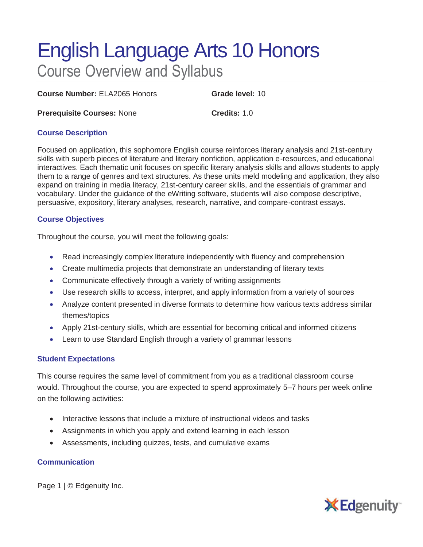# English Language Arts 10 Honors Course Overview and Syllabus

**Course Number:** ELA2065 Honors **Grade level:** 10

**Prerequisite Courses: None <b>Credits:** 1.0

### **Course Description**

Focused on application, this sophomore English course reinforces literary analysis and 21st-century skills with superb pieces of literature and literary nonfiction, application e-resources, and educational interactives. Each thematic unit focuses on specific literary analysis skills and allows students to apply them to a range of genres and text structures. As these units meld modeling and application, they also expand on training in media literacy, 21st-century career skills, and the essentials of grammar and vocabulary. Under the guidance of the eWriting software, students will also compose descriptive, persuasive, expository, literary analyses, research, narrative, and compare-contrast essays.

#### **Course Objectives**

Throughout the course, you will meet the following goals:

- Read increasingly complex literature independently with fluency and comprehension
- Create multimedia projects that demonstrate an understanding of literary texts
- Communicate effectively through a variety of writing assignments
- Use research skills to access, interpret, and apply information from a variety of sources
- Analyze content presented in diverse formats to determine how various texts address similar themes/topics
- Apply 21st-century skills, which are essential for becoming critical and informed citizens
- Learn to use Standard English through a variety of grammar lessons

## **Student Expectations**

This course requires the same level of commitment from you as a traditional classroom course would. Throughout the course, you are expected to spend approximately 5–7 hours per week online on the following activities:

- Interactive lessons that include a mixture of instructional videos and tasks
- Assignments in which you apply and extend learning in each lesson
- Assessments, including quizzes, tests, and cumulative exams

#### **Communication**

Page 1 | © Edgenuity Inc.